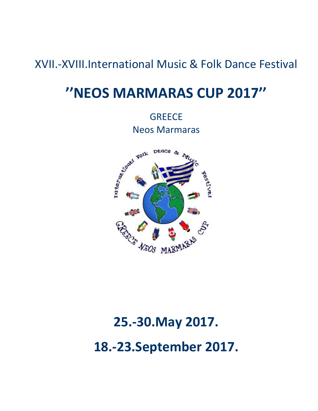### XVII.-XVIII.International Music & Folk Dance Festival

## **''NEOS MARMARAS CUP 2017''**

**GREECE** Neos Marmaras



# **25.-30.May 2017. 18.-23.September 2017.**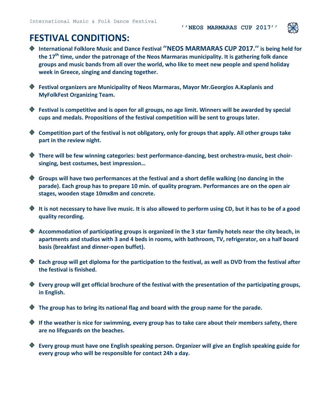

### **FESTIVAL CONDITIONS:**

- **International Folklore Music and Dance Festival ''NEOS MARMARAS CUP 2017.'' is being held for the 17 th time, under the patronage of the Neos Marmaras municipality. It is gathering folk dance groups and music bands from all over the world, who like to meet new people and spend holiday week in Greece, singing and dancing together.**
- **Festival organizers are Municipality of Neos Marmaras, Mayor Mr.Georgios A.Kaplanis and MyFolkFest Organizing Team.**
- **Festival is competitive and is open for all groups, no age limit. Winners will be awarded by special cups and medals. Propositions of the festival competition will be sent to groups later.**
- **Competition part of the festival is not obligatory, only for groups that apply. All other groups take part in the review night.**
- **There will be few winning categories: best performance-dancing, best orchestra-music, best choirsinging, best costumes, best impression…**
- **Groups will have two performances at the festival and a short defile walking (no dancing in the parade). Each group has to prepare 10 min. of quality program. Performances are on the open air stages, wooden stage 10mx8m and concrete.**
- **It is not necessary to have live music. It is also allowed to perform using CD, but it has to be of a good quality recording.**
- **Accommodation of participating groups is organized in the 3 star family hotels near the city beach, in apartments and studios with 3 and 4 beds in rooms, with bathroom, TV, refrigerator, on a half board basis (breakfast and dinner-open buffet).**
- **Each group will get diploma for the participation to the festival, as well as DVD from the festival after the festival is finished.**
- **Every group will get official brochure of the festival with the presentation of the participating groups, in English.**
- **The group has to bring its national flag and board with the group name for the parade.**
- **If the weather is nice for swimming, every group has to take care about their members safety, there are no lifeguards on the beaches.**
- **Every group must have one English speaking person. Organizer will give an English speaking guide for every group who will be responsible for contact 24h a day.**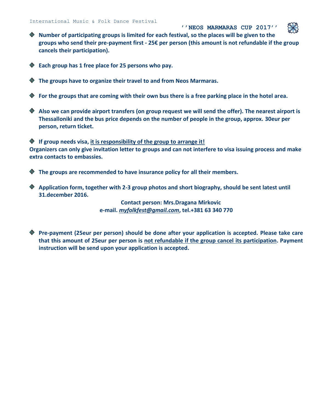**''NEOS MARMARAS CUP 2017'' Number of participating groups is limited for each festival, so the places will be given to the groups who send their pre-payment first - 25€ per person (this amount is not refundable if the group cancels their participation).**

- **Each group has 1 free place for 25 persons who pay.**
- **The groups have to organize their travel to and from Neos Marmaras.**
- **For the groups that are coming with their own bus there is a free parking place in the hotel area.**
- **Also we can provide airport transfers (on group request we will send the offer). The nearest airport is Thessalloniki and the bus price depends on the number of people in the group, approx. 30eur per person, return ticket.**

**If group needs visa, it is responsibility of the group to arrange it! Organizers can only give invitation letter to groups and can not interfere to visa issuing process and make extra contacts to embassies.** 

**The groups are recommended to have insurance policy for all their members.**

**Application form, together with 2-3 group photos and short biography, should be sent latest until 31.december 2016.**

> **Contact person: Mrs.Dragana Mirkovic e-mail.** *[myfolkfest@gmail.com](mailto:myfolkfest@gmail.com)***, tel.+381 63 340 770**

**Pre-payment (25eur per person) should be done after your application is accepted. Please take care that this amount of 25eur per person is not refundable if the group cancel its participation. Payment instruction will be send upon your application is accepted.**

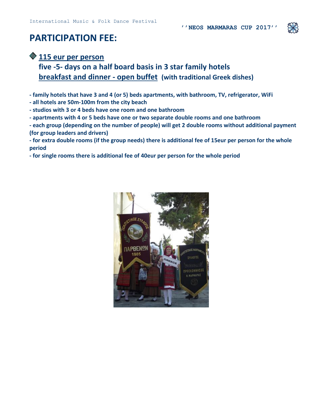

### **PARTICIPATION FEE:**

#### **115 eur per person**

**five -5- days on a half board basis in 3 star family hotels breakfast and dinner - open buffet (with traditional Greek dishes)**

**- family hotels that have 3 and 4 (or 5) beds apartments, with bathroom, TV, refrigerator, WiFi**

- **- all hotels are 50m-100m from the city beach**
- **- studios with 3 or 4 beds have one room and one bathroom**
- **- apartments with 4 or 5 beds have one or two separate double rooms and one bathroom**
- **- each group (depending on the number of people) will get 2 double rooms without additional payment (for group leaders and drivers)**

**- for extra double rooms (if the group needs) there is additional fee of 15eur per person for the whole period** 

**- for single rooms there is additional fee of 40eur per person for the whole period**

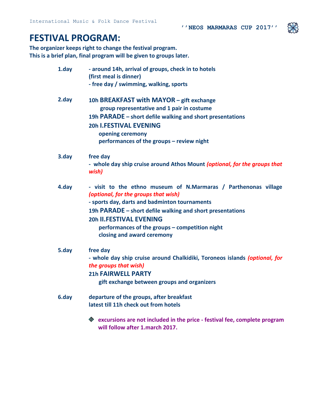### **FESTIVAL PROGRAM:**

**The organizer keeps right to change the festival program. This is a brief plan, final program will be given to groups later.**

| 1.day | - around 14h, arrival of groups, check in to hotels<br>(first meal is dinner)                           |
|-------|---------------------------------------------------------------------------------------------------------|
|       | - free day / swimming, walking, sports                                                                  |
| 2.day | 10h BREAKFAST with MAYOR - gift exchange                                                                |
|       | group representative and 1 pair in costume                                                              |
|       | 19h PARADE – short defile walking and short presentations                                               |
|       | <b>20h I.FESTIVAL EVENING</b>                                                                           |
|       | opening ceremony                                                                                        |
|       | performances of the groups - review night                                                               |
| 3.day | free day                                                                                                |
|       | - whole day ship cruise around Athos Mount (optional, for the groups that<br>wish)                      |
| 4.day | - visit to the ethno museum of N.Marmaras / Parthenonas village<br>(optional, for the groups that wish) |
|       | - sports day, darts and badminton tournaments                                                           |
|       | 19h PARADE – short defile walking and short presentations                                               |
|       | <b>20h II.FESTIVAL EVENING</b>                                                                          |
|       | performances of the groups - competition night                                                          |
|       | closing and award ceremony                                                                              |
| 5.day | free day                                                                                                |
|       | - whole day ship cruise around Chalkidiki, Toroneos islands (optional, for                              |
|       | the groups that wish)                                                                                   |
|       | <b>21h FAIRWELL PARTY</b>                                                                               |
|       | gift exchange between groups and organizers                                                             |
| 6.day | departure of the groups, after breakfast                                                                |
|       | latest till 11h check out from hotels                                                                   |
|       | $\bullet$ excursions are not included in the price - festival fee, complete program                     |
|       | will follow after 1.march 2017.                                                                         |